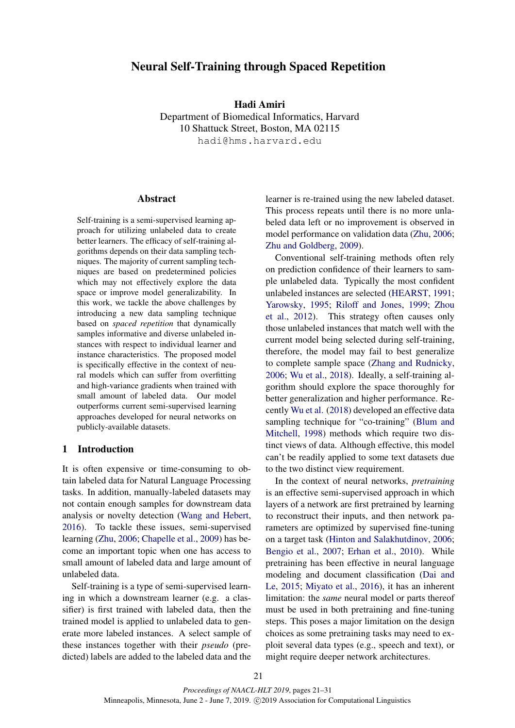# Neural Self-Training through Spaced Repetition

Hadi Amiri

Department of Biomedical Informatics, Harvard 10 Shattuck Street, Boston, MA 02115 hadi@hms.harvard.edu

### Abstract

Self-training is a semi-supervised learning approach for utilizing unlabeled data to create better learners. The efficacy of self-training algorithms depends on their data sampling techniques. The majority of current sampling techniques are based on predetermined policies which may not effectively explore the data space or improve model generalizability. In this work, we tackle the above challenges by introducing a new data sampling technique based on *spaced repetition* that dynamically samples informative and diverse unlabeled instances with respect to individual learner and instance characteristics. The proposed model is specifically effective in the context of neural models which can suffer from overfitting and high-variance gradients when trained with small amount of labeled data. Our model outperforms current semi-supervised learning approaches developed for neural networks on publicly-available datasets.

# 1 Introduction

It is often expensive or time-consuming to obtain labeled data for Natural Language Processing tasks. In addition, manually-labeled datasets may not contain enough samples for downstream data analysis or novelty detection (Wang and Hebert, 2016). To tackle these issues, semi-supervised learning (Zhu, 2006; Chapelle et al., 2009) has become an important topic when one has access to small amount of labeled data and large amount of unlabeled data.

Self-training is a type of semi-supervised learning in which a downstream learner (e.g. a classifier) is first trained with labeled data, then the trained model is applied to unlabeled data to generate more labeled instances. A select sample of these instances together with their *pseudo* (predicted) labels are added to the labeled data and the

learner is re-trained using the new labeled dataset. This process repeats until there is no more unlabeled data left or no improvement is observed in model performance on validation data (Zhu, 2006; Zhu and Goldberg, 2009).

Conventional self-training methods often rely on prediction confidence of their learners to sample unlabeled data. Typically the most confident unlabeled instances are selected (HEARST, 1991; Yarowsky, 1995; Riloff and Jones, 1999; Zhou et al., 2012). This strategy often causes only those unlabeled instances that match well with the current model being selected during self-training, therefore, the model may fail to best generalize to complete sample space (Zhang and Rudnicky, 2006; Wu et al., 2018). Ideally, a self-training algorithm should explore the space thoroughly for better generalization and higher performance. Recently Wu et al. (2018) developed an effective data sampling technique for "co-training" (Blum and Mitchell, 1998) methods which require two distinct views of data. Although effective, this model can't be readily applied to some text datasets due to the two distinct view requirement.

In the context of neural networks, *pretraining* is an effective semi-supervised approach in which layers of a network are first pretrained by learning to reconstruct their inputs, and then network parameters are optimized by supervised fine-tuning on a target task (Hinton and Salakhutdinov, 2006; Bengio et al., 2007; Erhan et al., 2010). While pretraining has been effective in neural language modeling and document classification (Dai and Le, 2015; Miyato et al., 2016), it has an inherent limitation: the *same* neural model or parts thereof must be used in both pretraining and fine-tuning steps. This poses a major limitation on the design choices as some pretraining tasks may need to exploit several data types (e.g., speech and text), or might require deeper network architectures.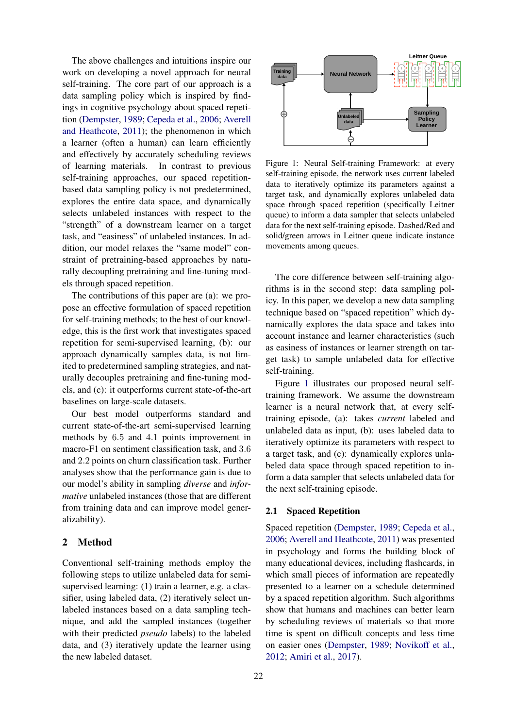The above challenges and intuitions inspire our work on developing a novel approach for neural self-training. The core part of our approach is a data sampling policy which is inspired by findings in cognitive psychology about spaced repetition (Dempster, 1989; Cepeda et al., 2006; Averell and Heathcote, 2011); the phenomenon in which a learner (often a human) can learn efficiently and effectively by accurately scheduling reviews of learning materials. In contrast to previous self-training approaches, our spaced repetitionbased data sampling policy is not predetermined, explores the entire data space, and dynamically selects unlabeled instances with respect to the "strength" of a downstream learner on a target task, and "easiness" of unlabeled instances. In addition, our model relaxes the "same model" constraint of pretraining-based approaches by naturally decoupling pretraining and fine-tuning models through spaced repetition.

The contributions of this paper are (a): we propose an effective formulation of spaced repetition for self-training methods; to the best of our knowledge, this is the first work that investigates spaced repetition for semi-supervised learning, (b): our approach dynamically samples data, is not limited to predetermined sampling strategies, and naturally decouples pretraining and fine-tuning models, and (c): it outperforms current state-of-the-art baselines on large-scale datasets.

Our best model outperforms standard and current state-of-the-art semi-supervised learning methods by 6.5 and 4.1 points improvement in macro-F1 on sentiment classification task, and 3.6 and 2.2 points on churn classification task. Further analyses show that the performance gain is due to our model's ability in sampling *diverse* and *informative* unlabeled instances (those that are different from training data and can improve model generalizability).

### 2 Method

Conventional self-training methods employ the following steps to utilize unlabeled data for semisupervised learning: (1) train a learner, e.g. a classifier, using labeled data, (2) iteratively select unlabeled instances based on a data sampling technique, and add the sampled instances (together with their predicted *pseudo* labels) to the labeled data, and (3) iteratively update the learner using the new labeled dataset.



Figure 1: Neural Self-training Framework: at every self-training episode, the network uses current labeled data to iteratively optimize its parameters against a target task, and dynamically explores unlabeled data space through spaced repetition (specifically Leitner queue) to inform a data sampler that selects unlabeled data for the next self-training episode. Dashed/Red and solid/green arrows in Leitner queue indicate instance movements among queues.

The core difference between self-training algorithms is in the second step: data sampling policy. In this paper, we develop a new data sampling technique based on "spaced repetition" which dynamically explores the data space and takes into account instance and learner characteristics (such as easiness of instances or learner strength on target task) to sample unlabeled data for effective self-training.

Figure 1 illustrates our proposed neural selftraining framework. We assume the downstream learner is a neural network that, at every selftraining episode, (a): takes *current* labeled and unlabeled data as input, (b): uses labeled data to iteratively optimize its parameters with respect to a target task, and (c): dynamically explores unlabeled data space through spaced repetition to inform a data sampler that selects unlabeled data for the next self-training episode.

#### 2.1 Spaced Repetition

Spaced repetition (Dempster, 1989; Cepeda et al., 2006; Averell and Heathcote, 2011) was presented in psychology and forms the building block of many educational devices, including flashcards, in which small pieces of information are repeatedly presented to a learner on a schedule determined by a spaced repetition algorithm. Such algorithms show that humans and machines can better learn by scheduling reviews of materials so that more time is spent on difficult concepts and less time on easier ones (Dempster, 1989; Novikoff et al., 2012; Amiri et al., 2017).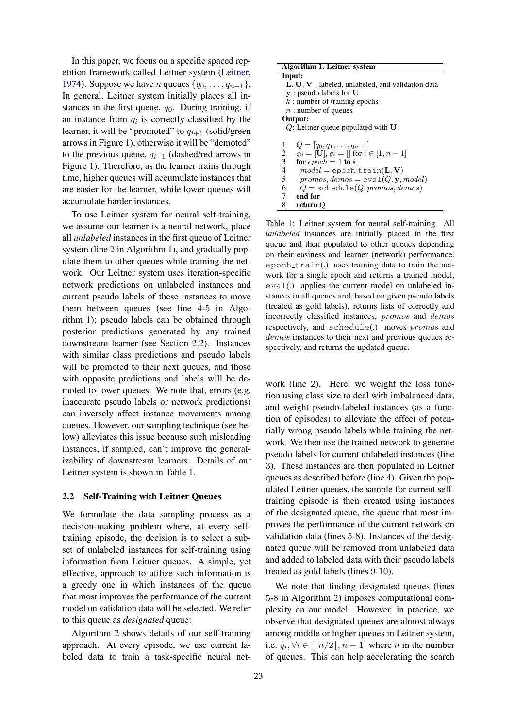In this paper, we focus on a specific spaced repetition framework called Leitner system (Leitner, 1974). Suppose we have *n* queues  $\{q_0, \ldots, q_{n-1}\}.$ In general, Leitner system initially places all instances in the first queue,  $q_0$ . During training, if an instance from  $q_i$  is correctly classified by the learner, it will be "promoted" to  $q_{i+1}$  (solid/green arrows in Figure 1), otherwise it will be "demoted" to the previous queue,  $q_{i-1}$  (dashed/red arrows in Figure 1). Therefore, as the learner trains through time, higher queues will accumulate instances that are easier for the learner, while lower queues will accumulate harder instances.

To use Leitner system for neural self-training, we assume our learner is a neural network, place all *unlabeled* instances in the first queue of Leitner system (line 2 in Algorithm 1), and gradually populate them to other queues while training the network. Our Leitner system uses iteration-specific network predictions on unlabeled instances and current pseudo labels of these instances to move them between queues (see line 4-5 in Algorithm 1); pseudo labels can be obtained through posterior predictions generated by any trained downstream learner (see Section 2.2). Instances with similar class predictions and pseudo labels will be promoted to their next queues, and those with opposite predictions and labels will be demoted to lower queues. We note that, errors (e.g. inaccurate pseudo labels or network predictions) can inversely affect instance movements among queues. However, our sampling technique (see below) alleviates this issue because such misleading instances, if sampled, can't improve the generalizability of downstream learners. Details of our Leitner system is shown in Table 1.

#### 2.2 Self-Training with Leitner Queues

We formulate the data sampling process as a decision-making problem where, at every selftraining episode, the decision is to select a subset of unlabeled instances for self-training using information from Leitner queues. A simple, yet effective, approach to utilize such information is a greedy one in which instances of the queue that most improves the performance of the current model on validation data will be selected. We refer to this queue as *designated* queue:

Algorithm 2 shows details of our self-training approach. At every episode, we use current labeled data to train a task-specific neural net-

| Algorithm 1. Leitner system                              |
|----------------------------------------------------------|
| Input:                                                   |
| $L, U, V$ : labeled, unlabeled, and validation data      |
| $\mathbf{v}$ : pseudo labels for U                       |
| $k:$ number of training epochs                           |
| $n:$ number of queues                                    |
| Output:                                                  |
| $Q$ : Leitner queue populated with U                     |
|                                                          |
| 1<br>$Q = [q_0, q_1, \ldots, q_{n-1}]$                   |
| $q_0 = [\mathbf{U}], q_i = []$ for $i \in [1, n-1]$<br>2 |
| 3<br>for epoch = 1 to k:                                 |
| $\overline{4}$<br>$model = epoch_train(L, V)$            |
| 5<br>$promos, demos = eval(Q, y, model)$                 |
| 6<br>$Q = \text{schedule}(Q, promos, demos)$             |
| 7<br>end for                                             |
| 8<br>return O                                            |

Table 1: Leitner system for neural self-training. All *unlabeled* instances are initially placed in the first queue and then populated to other queues depending on their easiness and learner (network) performance. epoch\_train(.) uses training data to train the network for a single epoch and returns a trained model, eval(.) applies the current model on unlabeled instances in all queues and, based on given pseudo labels (treated as gold labels), returns lists of correctly and incorrectly classified instances, promos and demos respectively, and schedule(.) moves promos and demos instances to their next and previous queues respectively, and returns the updated queue.

work (line 2). Here, we weight the loss function using class size to deal with imbalanced data, and weight pseudo-labeled instances (as a function of episodes) to alleviate the effect of potentially wrong pseudo labels while training the network. We then use the trained network to generate pseudo labels for current unlabeled instances (line 3). These instances are then populated in Leitner queues as described before (line 4). Given the populated Leitner queues, the sample for current selftraining episode is then created using instances of the designated queue, the queue that most improves the performance of the current network on validation data (lines 5-8). Instances of the designated queue will be removed from unlabeled data and added to labeled data with their pseudo labels treated as gold labels (lines 9-10).

We note that finding designated queues (lines 5-8 in Algorithm 2) imposes computational complexity on our model. However, in practice, we observe that designated queues are almost always among middle or higher queues in Leitner system, i.e.  $q_i, \forall i \in [\lfloor n/2 \rfloor, n-1]$  where n in the number of queues. This can help accelerating the search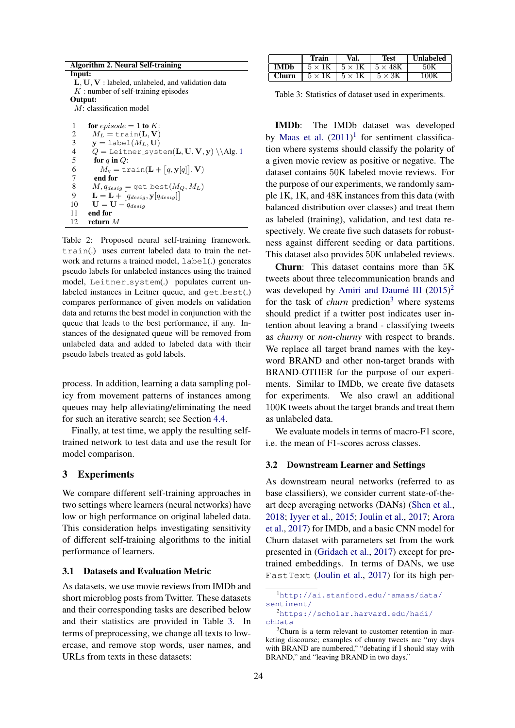| <b>Algorithm 2. Neural Self-training</b>                               |  |
|------------------------------------------------------------------------|--|
| Input:                                                                 |  |
| $L, U, V:$ labeled, unlabeled, and validation data                     |  |
| $K:$ number of self-training episodes                                  |  |
| Output:                                                                |  |
| $M$ : classification model                                             |  |
|                                                                        |  |
| for episode = 1 to K:<br>1                                             |  |
| $M_L = \text{train}(\mathbf{L}, \mathbf{V})$<br>2                      |  |
| 3<br>$\mathbf{y} = \text{label}(M_L, \mathbf{U})$                      |  |
| $Q =$ Leitner_system( $L, U, V, y$ ) \\Alg.1<br>4                      |  |
| 5<br>for q in $Q$ :                                                    |  |
| $M_q = \text{train}(\mathbf{L} + [q, \mathbf{y}[q]], \mathbf{V})$<br>6 |  |
|                                                                        |  |

7 end for<br>8  $M, g_{des}$ 8  $M, q_{design} = get\_best(M_Q, M_L)$ <br>9  $\mathbf{L} = \mathbf{L} + [q_{data}, \mathbf{v}[q_{data}]]$ 

- 9  $\mathbf{L} = \mathbf{L} + [q_{design}, \mathbf{y}[q_{design}]]$
- 10  $\mathbf{U} = \mathbf{U} \dot{q}_{design}$
- 11 end for

12 return M

Table 2: Proposed neural self-training framework. train(.) uses current labeled data to train the network and returns a trained model, label(.) generates pseudo labels for unlabeled instances using the trained model, Leitner\_system(.) populates current unlabeled instances in Leitner queue, and  $qet\_best(.)$ compares performance of given models on validation data and returns the best model in conjunction with the queue that leads to the best performance, if any. Instances of the designated queue will be removed from unlabeled data and added to labeled data with their pseudo labels treated as gold labels.

process. In addition, learning a data sampling policy from movement patterns of instances among queues may help alleviating/eliminating the need for such an iterative search; see Section 4.4.

Finally, at test time, we apply the resulting selftrained network to test data and use the result for model comparison.

### 3 Experiments

We compare different self-training approaches in two settings where learners (neural networks) have low or high performance on original labeled data. This consideration helps investigating sensitivity of different self-training algorithms to the initial performance of learners.

### 3.1 Datasets and Evaluation Metric

As datasets, we use movie reviews from IMDb and short microblog posts from Twitter. These datasets and their corresponding tasks are described below and their statistics are provided in Table 3. In terms of preprocessing, we change all texts to lowercase, and remove stop words, user names, and URLs from texts in these datasets:

|             | Train          | Val.          | Test           | <b>Unlabeled</b> |
|-------------|----------------|---------------|----------------|------------------|
| <b>IMDb</b> | $5 \times 1$ K | $5 \times 1K$ | $5 \times 48K$ |                  |
| Churn       | $5 \times 1$ K | $5 \times 1K$ | $5 \times 3K$  | 100K             |

Table 3: Statistics of dataset used in experiments.

IMDb: The IMDb dataset was developed by Maas et al.  $(2011)^1$  for sentiment classification where systems should classify the polarity of a given movie review as positive or negative. The dataset contains 50K labeled movie reviews. For the purpose of our experiments, we randomly sample 1K, 1K, and 48K instances from this data (with balanced distribution over classes) and treat them as labeled (training), validation, and test data respectively. We create five such datasets for robustness against different seeding or data partitions. This dataset also provides 50K unlabeled reviews.

Churn: This dataset contains more than 5K tweets about three telecommunication brands and was developed by Amiri and Daumé III  $(2015)^2$ for the task of *churn* prediction<sup>3</sup> where systems should predict if a twitter post indicates user intention about leaving a brand - classifying tweets as *churny* or *non-churny* with respect to brands. We replace all target brand names with the keyword BRAND and other non-target brands with BRAND-OTHER for the purpose of our experiments. Similar to IMDb, we create five datasets for experiments. We also crawl an additional 100K tweets about the target brands and treat them as unlabeled data.

We evaluate models in terms of macro-F1 score, i.e. the mean of F1-scores across classes.

#### 3.2 Downstream Learner and Settings

As downstream neural networks (referred to as base classifiers), we consider current state-of-theart deep averaging networks (DANs) (Shen et al., 2018; Iyyer et al., 2015; Joulin et al., 2017; Arora et al., 2017) for IMDb, and a basic CNN model for Churn dataset with parameters set from the work presented in (Gridach et al., 2017) except for pretrained embeddings. In terms of DANs, we use FastText (Joulin et al., 2017) for its high per-

<sup>1</sup>http://ai.stanford.edu/˜amaas/data/ sentiment/

<sup>2</sup>https://scholar.harvard.edu/hadi/ chData

 $3$ Churn is a term relevant to customer retention in marketing discourse; examples of churny tweets are "my days with BRAND are numbered," "debating if I should stay with BRAND," and "leaving BRAND in two days."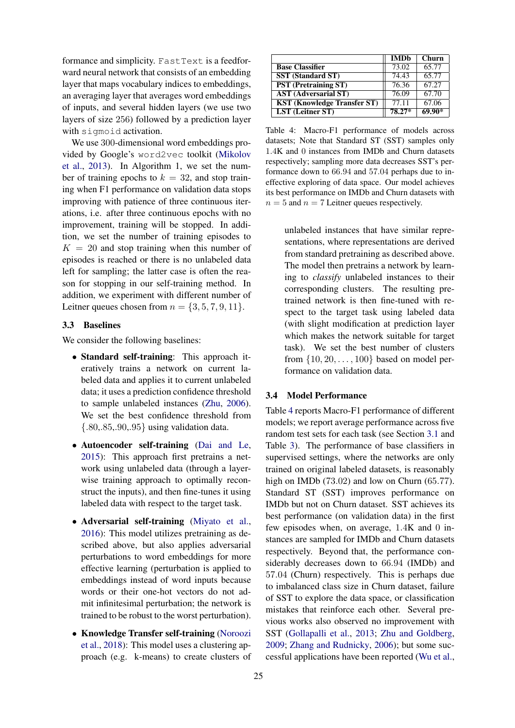formance and simplicity. FastText is a feedforward neural network that consists of an embedding layer that maps vocabulary indices to embeddings, an averaging layer that averages word embeddings of inputs, and several hidden layers (we use two layers of size 256) followed by a prediction layer with sigmoid activation.

We use 300-dimensional word embeddings provided by Google's word2vec toolkit (Mikolov et al., 2013). In Algorithm 1, we set the number of training epochs to  $k = 32$ , and stop training when F1 performance on validation data stops improving with patience of three continuous iterations, i.e. after three continuous epochs with no improvement, training will be stopped. In addition, we set the number of training episodes to  $K = 20$  and stop training when this number of episodes is reached or there is no unlabeled data left for sampling; the latter case is often the reason for stopping in our self-training method. In addition, we experiment with different number of Leitner queues chosen from  $n = \{3, 5, 7, 9, 11\}.$ 

#### 3.3 Baselines

We consider the following baselines:

- Standard self-training: This approach iteratively trains a network on current labeled data and applies it to current unlabeled data; it uses a prediction confidence threshold to sample unlabeled instances (Zhu, 2006). We set the best confidence threshold from {.80,.85,.90,.95} using validation data.
- Autoencoder self-training (Dai and Le, 2015): This approach first pretrains a network using unlabeled data (through a layerwise training approach to optimally reconstruct the inputs), and then fine-tunes it using labeled data with respect to the target task.
- Adversarial self-training (Miyato et al., 2016): This model utilizes pretraining as described above, but also applies adversarial perturbations to word embeddings for more effective learning (perturbation is applied to embeddings instead of word inputs because words or their one-hot vectors do not admit infinitesimal perturbation; the network is trained to be robust to the worst perturbation).
- Knowledge Transfer self-training (Noroozi et al., 2018): This model uses a clustering approach (e.g. k-means) to create clusters of

|                                    | <b>IMDb</b> | Churn    |
|------------------------------------|-------------|----------|
| <b>Base Classifier</b>             | 73.02       | 65.77    |
| <b>SST</b> (Standard ST)           | 74.43       | 65.77    |
| <b>PST</b> (Pretraining ST)        | 76.36       | 67.27    |
| <b>AST (Adversarial ST)</b>        | 76.09       | 67.70    |
| <b>KST (Knowledge Transfer ST)</b> | 77.11       | 67.06    |
| <b>LST</b> (Leitner ST)            | 78.27*      | $69.90*$ |

Table 4: Macro-F1 performance of models across datasets; Note that Standard ST (SST) samples only 1.4K and 0 instances from IMDb and Churn datasets respectively; sampling more data decreases SST's performance down to 66.94 and 57.04 perhaps due to ineffective exploring of data space. Our model achieves its best performance on IMDb and Churn datasets with  $n = 5$  and  $n = 7$  Leitner queues respectively.

unlabeled instances that have similar representations, where representations are derived from standard pretraining as described above. The model then pretrains a network by learning to *classify* unlabeled instances to their corresponding clusters. The resulting pretrained network is then fine-tuned with respect to the target task using labeled data (with slight modification at prediction layer which makes the network suitable for target task). We set the best number of clusters from  $\{10, 20, \ldots, 100\}$  based on model performance on validation data.

#### 3.4 Model Performance

Table 4 reports Macro-F1 performance of different models; we report average performance across five random test sets for each task (see Section 3.1 and Table 3). The performance of base classifiers in supervised settings, where the networks are only trained on original labeled datasets, is reasonably high on IMDb (73.02) and low on Churn (65.77). Standard ST (SST) improves performance on IMDb but not on Churn dataset. SST achieves its best performance (on validation data) in the first few episodes when, on average, 1.4K and 0 instances are sampled for IMDb and Churn datasets respectively. Beyond that, the performance considerably decreases down to 66.94 (IMDb) and 57.04 (Churn) respectively. This is perhaps due to imbalanced class size in Churn dataset, failure of SST to explore the data space, or classification mistakes that reinforce each other. Several previous works also observed no improvement with SST (Gollapalli et al., 2013; Zhu and Goldberg, 2009; Zhang and Rudnicky, 2006); but some successful applications have been reported (Wu et al.,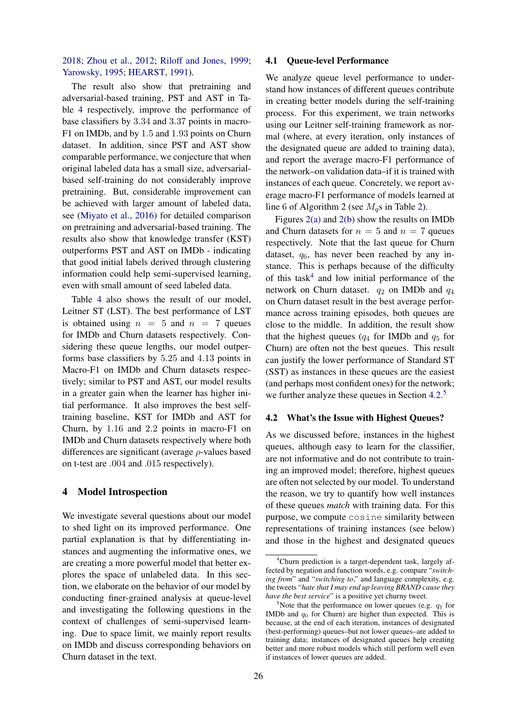# 2018; Zhou et al., 2012; Riloff and Jones, 1999; Yarowsky, 1995; HEARST, 1991).

The result also show that pretraining and adversarial-based training, PST and AST in Table 4 respectively, improve the performance of base classifiers by 3.34 and 3.37 points in macro-F1 on IMDb, and by 1.5 and 1.93 points on Churn dataset. In addition, since PST and AST show comparable performance, we conjecture that when original labeled data has a small size, adversarialbased self-training do not considerably improve pretraining. But, considerable improvement can be achieved with larger amount of labeled data, see (Miyato et al., 2016) for detailed comparison on pretraining and adversarial-based training. The results also show that knowledge transfer (KST) outperforms PST and AST on IMDb - indicating that good initial labels derived through clustering information could help semi-supervised learning, even with small amount of seed labeled data.

Table 4 also shows the result of our model, Leitner ST (LST). The best performance of LST is obtained using  $n = 5$  and  $n = 7$  queues for IMDb and Churn datasets respectively. Considering these queue lengths, our model outperforms base classifiers by 5.25 and 4.13 points in Macro-F1 on IMDb and Churn datasets respectively; similar to PST and AST, our model results in a greater gain when the learner has higher initial performance. It also improves the best selftraining baseline, KST for IMDb and AST for Churn, by 1.16 and 2.2 points in macro-F1 on IMDb and Churn datasets respectively where both differences are significant (average ρ-values based on t-test are .004 and .015 respectively).

### 4 Model Introspection

We investigate several questions about our model to shed light on its improved performance. One partial explanation is that by differentiating instances and augmenting the informative ones, we are creating a more powerful model that better explores the space of unlabeled data. In this section, we elaborate on the behavior of our model by conducting finer-grained analysis at queue-level and investigating the following questions in the context of challenges of semi-supervised learning. Due to space limit, we mainly report results on IMDb and discuss corresponding behaviors on Churn dataset in the text.

### 4.1 Queue-level Performance

We analyze queue level performance to understand how instances of different queues contribute in creating better models during the self-training process. For this experiment, we train networks using our Leitner self-training framework as normal (where, at every iteration, only instances of the designated queue are added to training data), and report the average macro-F1 performance of the network–on validation data–if it is trained with instances of each queue. Concretely, we report average macro-F1 performance of models learned at line 6 of Algorithm 2 (see  $M_q$ s in Table 2).

Figures 2(a) and 2(b) show the results on IMDb and Churn datasets for  $n = 5$  and  $n = 7$  queues respectively. Note that the last queue for Churn dataset,  $q_6$ , has never been reached by any instance. This is perhaps because of the difficulty of this task<sup>4</sup> and low initial performance of the network on Churn dataset.  $q_2$  on IMDb and  $q_4$ on Churn dataset result in the best average performance across training episodes, both queues are close to the middle. In addition, the result show that the highest queues ( $q_4$  for IMDb and  $q_5$  for Churn) are often not the best queues. This result can justify the lower performance of Standard ST (SST) as instances in these queues are the easiest (and perhaps most confident ones) for the network; we further analyze these queues in Section 4.2.<sup>5</sup>

#### 4.2 What's the Issue with Highest Queues?

As we discussed before, instances in the highest queues, although easy to learn for the classifier, are not informative and do not contribute to training an improved model; therefore, highest queues are often not selected by our model. To understand the reason, we try to quantify how well instances of these queues *match* with training data. For this purpose, we compute cosine similarity between representations of training instances (see below) and those in the highest and designated queues

<sup>&</sup>lt;sup>4</sup>Churn prediction is a target-dependent task, largely affected by negation and function words, e.g. compare "*switching from*" and "*switching to*," and language complexity, e.g. the tweets "*hate that I may end up leaving BRAND cause they have the best service*" is a positive yet churny tweet.

<sup>&</sup>lt;sup>5</sup>Note that the performance on lower queues (e.g.  $q_1$  for IMDb and  $q_0$  for Churn) are higher than expected. This is because, at the end of each iteration, instances of designated (best-performing) queues–but not lower queues–are added to training data; instances of designated queues help creating better and more robust models which still perform well even if instances of lower queues are added.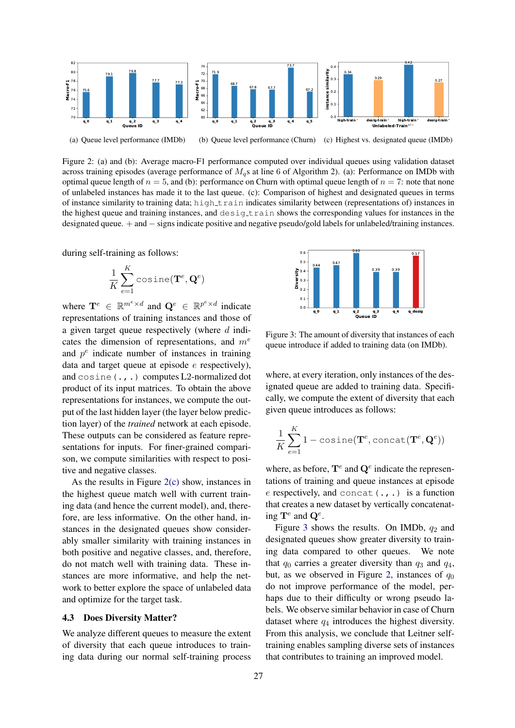

Figure 2: (a) and (b): Average macro-F1 performance computed over individual queues using validation dataset across training episodes (average performance of  $M<sub>g</sub>$ s at line 6 of Algorithm 2). (a): Performance on IMDb with optimal queue length of  $n = 5$ , and (b): performance on Churn with optimal queue length of  $n = 7$ : note that none of unlabeled instances has made it to the last queue. (c): Comparison of highest and designated queues in terms of instance similarity to training data; high train indicates similarity between (representations of) instances in the highest queue and training instances, and desigtrain shows the corresponding values for instances in the designated queue. + and − signs indicate positive and negative pseudo/gold labels for unlabeled/training instances.

during self-training as follows:

$$
\frac{1}{K}\sum_{e=1}^K \text{cosine}(\mathbf{T}^e, \mathbf{Q}^e)
$$

where  $\mathbf{T}^e \in \mathbb{R}^{m^e \times d}$  and  $\mathbf{Q}^e \in \mathbb{R}^{p^e \times d}$  indicate representations of training instances and those of a given target queue respectively (where  $d$  indicates the dimension of representations, and  $m<sup>e</sup>$ and  $p<sup>e</sup>$  indicate number of instances in training data and target queue at episode e respectively), and cosine(.,.) computes L2-normalized dot product of its input matrices. To obtain the above representations for instances, we compute the output of the last hidden layer (the layer below prediction layer) of the *trained* network at each episode. These outputs can be considered as feature representations for inputs. For finer-grained comparison, we compute similarities with respect to positive and negative classes.

As the results in Figure 2(c) show, instances in the highest queue match well with current training data (and hence the current model), and, therefore, are less informative. On the other hand, instances in the designated queues show considerably smaller similarity with training instances in both positive and negative classes, and, therefore, do not match well with training data. These instances are more informative, and help the network to better explore the space of unlabeled data and optimize for the target task.

#### 4.3 Does Diversity Matter?

We analyze different queues to measure the extent of diversity that each queue introduces to training data during our normal self-training process



Figure 3: The amount of diversity that instances of each queue introduce if added to training data (on IMDb).

where, at every iteration, only instances of the designated queue are added to training data. Specifically, we compute the extent of diversity that each given queue introduces as follows:

$$
\frac{1}{K}\sum_{e=1}^{K} 1 - \text{cosine}(\mathbf{T}^e, \text{concat}(\mathbf{T}^e, \mathbf{Q}^e))
$$

where, as before,  $\mathbf{T}^e$  and  $\mathbf{Q}^e$  indicate the representations of training and queue instances at episode  $e$  respectively, and concat  $(.,.)$  is a function that creates a new dataset by vertically concatenating  $\mathbf{T}^e$  and  $\mathbf{Q}^e$ .

Figure 3 shows the results. On IMDb,  $q_2$  and designated queues show greater diversity to training data compared to other queues. We note that  $q_0$  carries a greater diversity than  $q_3$  and  $q_4$ , but, as we observed in Figure 2, instances of  $q_0$ do not improve performance of the model, perhaps due to their difficulty or wrong pseudo labels. We observe similar behavior in case of Churn dataset where  $q_4$  introduces the highest diversity. From this analysis, we conclude that Leitner selftraining enables sampling diverse sets of instances that contributes to training an improved model.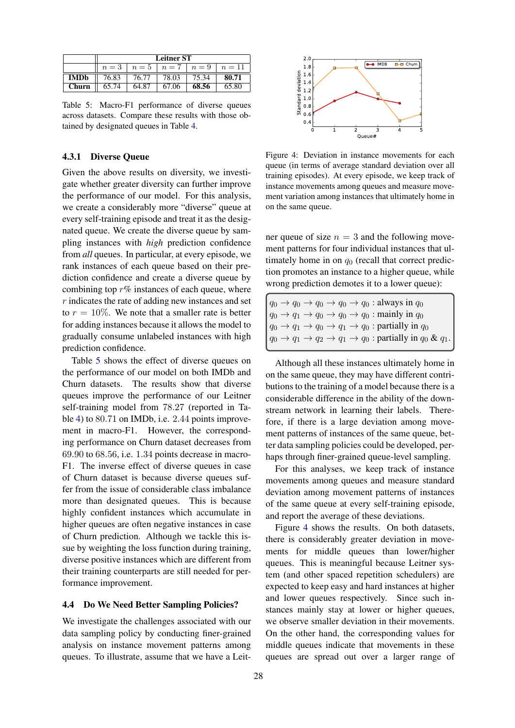|             | <b>Leitner ST</b> |       |                                |       |       |
|-------------|-------------------|-------|--------------------------------|-------|-------|
|             | $n=3$             |       | $n=5$   $n=7$   $n=9$   $n=11$ |       |       |
| <b>IMDb</b> | 76.83             | 76.77 | 78.03                          | 75.34 | 80.71 |
| Churn       | 65.74             | 64.87 | 67.06                          | 68.56 | 65.80 |

Table 5: Macro-F1 performance of diverse queues across datasets. Compare these results with those obtained by designated queues in Table 4.

### 4.3.1 Diverse Queue

Given the above results on diversity, we investigate whether greater diversity can further improve the performance of our model. For this analysis, we create a considerably more "diverse" queue at every self-training episode and treat it as the designated queue. We create the diverse queue by sampling instances with *high* prediction confidence from *all* queues. In particular, at every episode, we rank instances of each queue based on their prediction confidence and create a diverse queue by combining top  $r\%$  instances of each queue, where  $r$  indicates the rate of adding new instances and set to  $r = 10\%$ . We note that a smaller rate is better for adding instances because it allows the model to gradually consume unlabeled instances with high prediction confidence.

Table 5 shows the effect of diverse queues on the performance of our model on both IMDb and Churn datasets. The results show that diverse queues improve the performance of our Leitner self-training model from 78.27 (reported in Table 4) to 80.71 on IMDb, i.e. 2.44 points improvement in macro-F1. However, the corresponding performance on Churn dataset decreases from 69.90 to 68.56, i.e. 1.34 points decrease in macro-F1. The inverse effect of diverse queues in case of Churn dataset is because diverse queues suffer from the issue of considerable class imbalance more than designated queues. This is because highly confident instances which accumulate in higher queues are often negative instances in case of Churn prediction. Although we tackle this issue by weighting the loss function during training, diverse positive instances which are different from their training counterparts are still needed for performance improvement.

#### 4.4 Do We Need Better Sampling Policies?

We investigate the challenges associated with our data sampling policy by conducting finer-grained analysis on instance movement patterns among queues. To illustrate, assume that we have a Leit-



Figure 4: Deviation in instance movements for each queue (in terms of average standard deviation over all training episodes). At every episode, we keep track of instance movements among queues and measure movement variation among instances that ultimately home in on the same queue.

ner queue of size  $n = 3$  and the following movement patterns for four individual instances that ultimately home in on  $q_0$  (recall that correct prediction promotes an instance to a higher queue, while wrong prediction demotes it to a lower queue):

 $q_0 \rightarrow q_0 \rightarrow q_0 \rightarrow q_0 \rightarrow q_0$ : always in  $q_0$  $q_0 \rightarrow q_1 \rightarrow q_0 \rightarrow q_0 \rightarrow q_0$ : mainly in  $q_0$  $q_0 \rightarrow q_1 \rightarrow q_0 \rightarrow q_1 \rightarrow q_0$ : partially in  $q_0$  $q_0 \rightarrow q_1 \rightarrow q_2 \rightarrow q_1 \rightarrow q_0$ : partially in  $q_0 \& q_1$ .

Although all these instances ultimately home in on the same queue, they may have different contributions to the training of a model because there is a considerable difference in the ability of the downstream network in learning their labels. Therefore, if there is a large deviation among movement patterns of instances of the same queue, better data sampling policies could be developed, perhaps through finer-grained queue-level sampling.

For this analyses, we keep track of instance movements among queues and measure standard deviation among movement patterns of instances of the same queue at every self-training episode, and report the average of these deviations.

Figure 4 shows the results. On both datasets, there is considerably greater deviation in movements for middle queues than lower/higher queues. This is meaningful because Leitner system (and other spaced repetition schedulers) are expected to keep easy and hard instances at higher and lower queues respectively. Since such instances mainly stay at lower or higher queues, we observe smaller deviation in their movements. On the other hand, the corresponding values for middle queues indicate that movements in these queues are spread out over a larger range of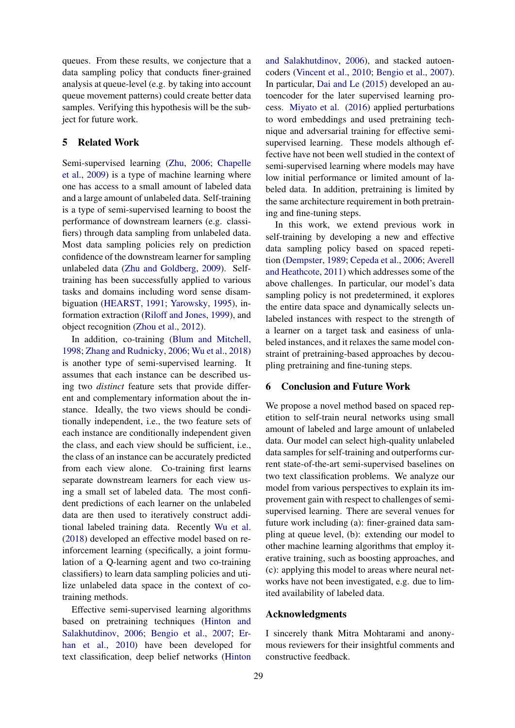queues. From these results, we conjecture that a data sampling policy that conducts finer-grained analysis at queue-level (e.g. by taking into account queue movement patterns) could create better data samples. Verifying this hypothesis will be the subject for future work.

## 5 Related Work

Semi-supervised learning (Zhu, 2006; Chapelle et al., 2009) is a type of machine learning where one has access to a small amount of labeled data and a large amount of unlabeled data. Self-training is a type of semi-supervised learning to boost the performance of downstream learners (e.g. classifiers) through data sampling from unlabeled data. Most data sampling policies rely on prediction confidence of the downstream learner for sampling unlabeled data (Zhu and Goldberg, 2009). Selftraining has been successfully applied to various tasks and domains including word sense disambiguation (HEARST, 1991; Yarowsky, 1995), information extraction (Riloff and Jones, 1999), and object recognition (Zhou et al., 2012).

In addition, co-training (Blum and Mitchell, 1998; Zhang and Rudnicky, 2006; Wu et al., 2018) is another type of semi-supervised learning. It assumes that each instance can be described using two *distinct* feature sets that provide different and complementary information about the instance. Ideally, the two views should be conditionally independent, i.e., the two feature sets of each instance are conditionally independent given the class, and each view should be sufficient, i.e., the class of an instance can be accurately predicted from each view alone. Co-training first learns separate downstream learners for each view using a small set of labeled data. The most confident predictions of each learner on the unlabeled data are then used to iteratively construct additional labeled training data. Recently Wu et al. (2018) developed an effective model based on reinforcement learning (specifically, a joint formulation of a Q-learning agent and two co-training classifiers) to learn data sampling policies and utilize unlabeled data space in the context of cotraining methods.

Effective semi-supervised learning algorithms based on pretraining techniques (Hinton and Salakhutdinov, 2006; Bengio et al., 2007; Erhan et al., 2010) have been developed for text classification, deep belief networks (Hinton

and Salakhutdinov, 2006), and stacked autoencoders (Vincent et al., 2010; Bengio et al., 2007). In particular, Dai and Le (2015) developed an autoencoder for the later supervised learning process. Miyato et al. (2016) applied perturbations to word embeddings and used pretraining technique and adversarial training for effective semisupervised learning. These models although effective have not been well studied in the context of semi-supervised learning where models may have low initial performance or limited amount of labeled data. In addition, pretraining is limited by the same architecture requirement in both pretraining and fine-tuning steps.

In this work, we extend previous work in self-training by developing a new and effective data sampling policy based on spaced repetition (Dempster, 1989; Cepeda et al., 2006; Averell and Heathcote, 2011) which addresses some of the above challenges. In particular, our model's data sampling policy is not predetermined, it explores the entire data space and dynamically selects unlabeled instances with respect to the strength of a learner on a target task and easiness of unlabeled instances, and it relaxes the same model constraint of pretraining-based approaches by decoupling pretraining and fine-tuning steps.

# 6 Conclusion and Future Work

We propose a novel method based on spaced repetition to self-train neural networks using small amount of labeled and large amount of unlabeled data. Our model can select high-quality unlabeled data samples for self-training and outperforms current state-of-the-art semi-supervised baselines on two text classification problems. We analyze our model from various perspectives to explain its improvement gain with respect to challenges of semisupervised learning. There are several venues for future work including (a): finer-grained data sampling at queue level, (b): extending our model to other machine learning algorithms that employ iterative training, such as boosting approaches, and (c): applying this model to areas where neural networks have not been investigated, e.g. due to limited availability of labeled data.

### Acknowledgments

I sincerely thank Mitra Mohtarami and anonymous reviewers for their insightful comments and constructive feedback.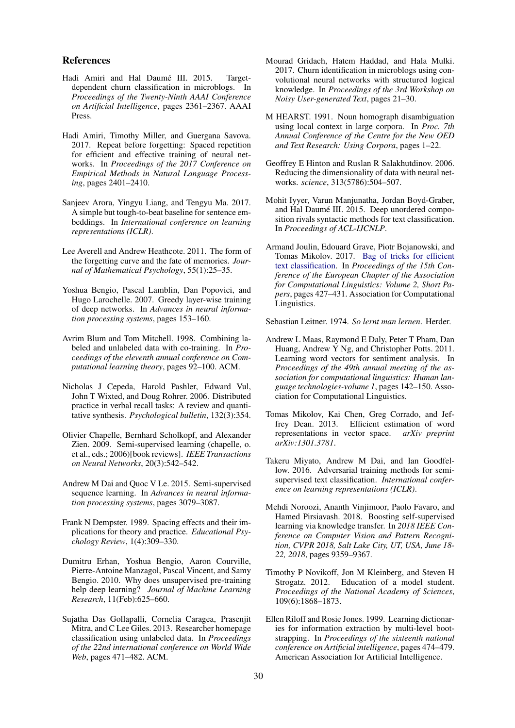#### References

- Hadi Amiri and Hal Daumé III. 2015. Targetdependent churn classification in microblogs. In *Proceedings of the Twenty-Ninth AAAI Conference on Artificial Intelligence*, pages 2361–2367. AAAI Press.
- Hadi Amiri, Timothy Miller, and Guergana Savova. 2017. Repeat before forgetting: Spaced repetition for efficient and effective training of neural networks. In *Proceedings of the 2017 Conference on Empirical Methods in Natural Language Processing*, pages 2401–2410.
- Sanjeev Arora, Yingyu Liang, and Tengyu Ma. 2017. A simple but tough-to-beat baseline for sentence embeddings. In *International conference on learning representations (ICLR)*.
- Lee Averell and Andrew Heathcote. 2011. The form of the forgetting curve and the fate of memories. *Journal of Mathematical Psychology*, 55(1):25–35.
- Yoshua Bengio, Pascal Lamblin, Dan Popovici, and Hugo Larochelle. 2007. Greedy layer-wise training of deep networks. In *Advances in neural information processing systems*, pages 153–160.
- Avrim Blum and Tom Mitchell. 1998. Combining labeled and unlabeled data with co-training. In *Proceedings of the eleventh annual conference on Computational learning theory*, pages 92–100. ACM.
- Nicholas J Cepeda, Harold Pashler, Edward Vul, John T Wixted, and Doug Rohrer. 2006. Distributed practice in verbal recall tasks: A review and quantitative synthesis. *Psychological bulletin*, 132(3):354.
- Olivier Chapelle, Bernhard Scholkopf, and Alexander Zien. 2009. Semi-supervised learning (chapelle, o. et al., eds.; 2006)[book reviews]. *IEEE Transactions on Neural Networks*, 20(3):542–542.
- Andrew M Dai and Quoc V Le. 2015. Semi-supervised sequence learning. In *Advances in neural information processing systems*, pages 3079–3087.
- Frank N Dempster. 1989. Spacing effects and their implications for theory and practice. *Educational Psychology Review*, 1(4):309–330.
- Dumitru Erhan, Yoshua Bengio, Aaron Courville, Pierre-Antoine Manzagol, Pascal Vincent, and Samy Bengio. 2010. Why does unsupervised pre-training help deep learning? *Journal of Machine Learning Research*, 11(Feb):625–660.
- Sujatha Das Gollapalli, Cornelia Caragea, Prasenjit Mitra, and C Lee Giles. 2013. Researcher homepage classification using unlabeled data. In *Proceedings of the 22nd international conference on World Wide Web*, pages 471–482. ACM.
- Mourad Gridach, Hatem Haddad, and Hala Mulki. 2017. Churn identification in microblogs using convolutional neural networks with structured logical knowledge. In *Proceedings of the 3rd Workshop on Noisy User-generated Text*, pages 21–30.
- M HEARST. 1991. Noun homograph disambiguation using local context in large corpora. In *Proc. 7th Annual Conference of the Centre for the New OED and Text Research: Using Corpora*, pages 1–22.
- Geoffrey E Hinton and Ruslan R Salakhutdinov. 2006. Reducing the dimensionality of data with neural networks. *science*, 313(5786):504–507.
- Mohit Iyyer, Varun Manjunatha, Jordan Boyd-Graber, and Hal Daumé III. 2015. Deep unordered composition rivals syntactic methods for text classification. In *Proceedings of ACL-IJCNLP*.
- Armand Joulin, Edouard Grave, Piotr Bojanowski, and Tomas Mikolov. 2017. Bag of tricks for efficient text classification. In *Proceedings of the 15th Conference of the European Chapter of the Association for Computational Linguistics: Volume 2, Short Papers*, pages 427–431. Association for Computational Linguistics.

Sebastian Leitner. 1974. *So lernt man lernen*. Herder.

- Andrew L Maas, Raymond E Daly, Peter T Pham, Dan Huang, Andrew Y Ng, and Christopher Potts. 2011. Learning word vectors for sentiment analysis. In *Proceedings of the 49th annual meeting of the association for computational linguistics: Human language technologies-volume 1*, pages 142–150. Association for Computational Linguistics.
- Tomas Mikolov, Kai Chen, Greg Corrado, and Jeffrey Dean. 2013. Efficient estimation of word representations in vector space. *arXiv preprint arXiv:1301.3781*.
- Takeru Miyato, Andrew M Dai, and Ian Goodfellow. 2016. Adversarial training methods for semisupervised text classification. *International conference on learning representations (ICLR)*.
- Mehdi Noroozi, Ananth Vinjimoor, Paolo Favaro, and Hamed Pirsiavash. 2018. Boosting self-supervised learning via knowledge transfer. In *2018 IEEE Conference on Computer Vision and Pattern Recognition, CVPR 2018, Salt Lake City, UT, USA, June 18- 22, 2018*, pages 9359–9367.
- Timothy P Novikoff, Jon M Kleinberg, and Steven H Strogatz. 2012. Education of a model student. *Proceedings of the National Academy of Sciences*, 109(6):1868–1873.
- Ellen Riloff and Rosie Jones. 1999. Learning dictionaries for information extraction by multi-level bootstrapping. In *Proceedings of the sixteenth national conference on Artificial intelligence*, pages 474–479. American Association for Artificial Intelligence.